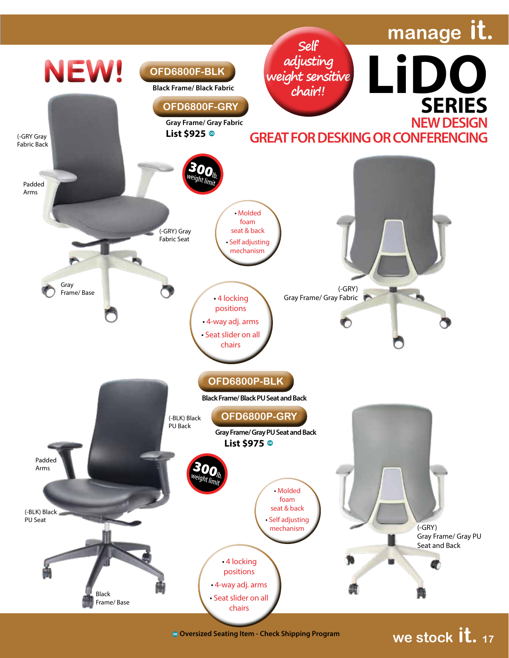

**Oversized Seating Item - Check Shipping Program**

**we stock it. <sup>17</sup>**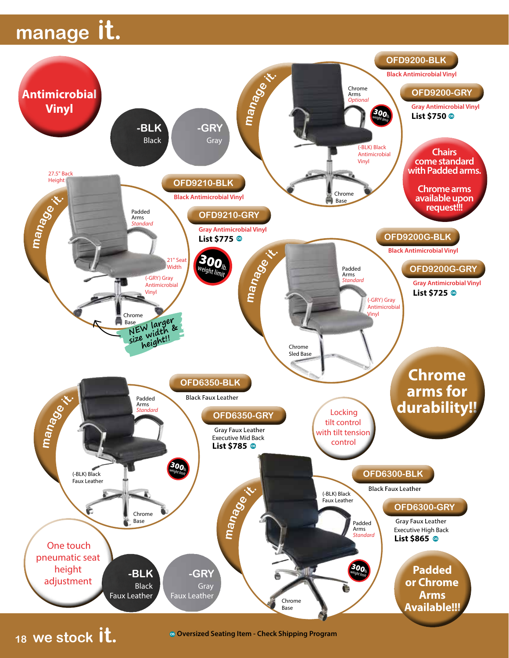## **manage it.**